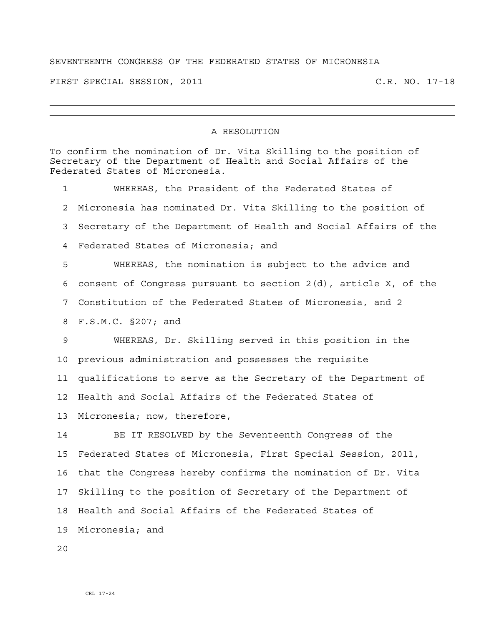## SEVENTEENTH CONGRESS OF THE FEDERATED STATES OF MICRONESIA

FIRST SPECIAL SESSION, 2011 C.R. NO. 17-18

## A RESOLUTION

To confirm the nomination of Dr. Vita Skilling to the position of Secretary of the Department of Health and Social Affairs of the Federated States of Micronesia.

1 WHEREAS, the President of the Federated States of 2 Micronesia has nominated Dr. Vita Skilling to the position of 3 Secretary of the Department of Health and Social Affairs of the 4 Federated States of Micronesia; and 5 WHEREAS, the nomination is subject to the advice and 6 consent of Congress pursuant to section 2(d), article X, of the

7 Constitution of the Federated States of Micronesia, and 2

8 F.S.M.C. §207; and

9 WHEREAS, Dr. Skilling served in this position in the 10 previous administration and possesses the requisite 11 qualifications to serve as the Secretary of the Department of 12 Health and Social Affairs of the Federated States of

13 Micronesia; now, therefore,

14 BE IT RESOLVED by the Seventeenth Congress of the 15 Federated States of Micronesia, First Special Session, 2011, 16 that the Congress hereby confirms the nomination of Dr. Vita 17 Skilling to the position of Secretary of the Department of 18 Health and Social Affairs of the Federated States of 19 Micronesia; and

 $2.0$